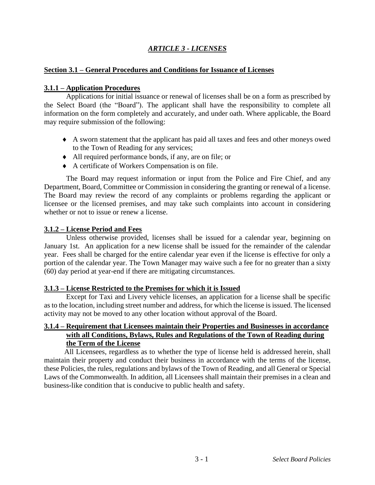# *ARTICLE 3 - LICENSES*

### **Section 3.1 – General Procedures and Conditions for Issuance of Licenses**

### **3.1.1 – Application Procedures**

Applications for initial issuance or renewal of licenses shall be on a form as prescribed by the Select Board (the "Board"). The applicant shall have the responsibility to complete all information on the form completely and accurately, and under oath. Where applicable, the Board may require submission of the following:

- A sworn statement that the applicant has paid all taxes and fees and other moneys owed to the Town of Reading for any services;
- All required performance bonds, if any, are on file; or
- A certificate of Workers Compensation is on file.

The Board may request information or input from the Police and Fire Chief, and any Department, Board, Committee or Commission in considering the granting or renewal of a license. The Board may review the record of any complaints or problems regarding the applicant or licensee or the licensed premises, and may take such complaints into account in considering whether or not to issue or renew a license.

## **3.1.2 – License Period and Fees**

Unless otherwise provided, licenses shall be issued for a calendar year, beginning on January 1st. An application for a new license shall be issued for the remainder of the calendar year. Fees shall be charged for the entire calendar year even if the license is effective for only a portion of the calendar year. The Town Manager may waive such a fee for no greater than a sixty (60) day period at year-end if there are mitigating circumstances.

#### **3.1.3 – License Restricted to the Premises for which it is Issued**

Except for Taxi and Livery vehicle licenses, an application for a license shall be specific as to the location, including street number and address, for which the license is issued. The licensed activity may not be moved to any other location without approval of the Board.

### **3.1.4 – Requirement that Licensees maintain their Properties and Businesses in accordance with all Conditions, Bylaws, Rules and Regulations of the Town of Reading during the Term of the License**

All Licensees, regardless as to whether the type of license held is addressed herein, shall maintain their property and conduct their business in accordance with the terms of the license, these Policies, the rules, regulations and bylaws of the Town of Reading, and all General or Special Laws of the Commonwealth. In addition, all Licensees shall maintain their premises in a clean and business-like condition that is conducive to public health and safety.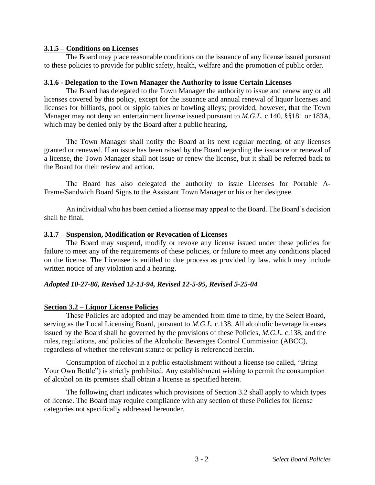### **3.1.5 – Conditions on Licenses**

The Board may place reasonable conditions on the issuance of any license issued pursuant to these policies to provide for public safety, health, welfare and the promotion of public order.

#### **3.1.6 - Delegation to the Town Manager the Authority to issue Certain Licenses**

The Board has delegated to the Town Manager the authority to issue and renew any or all licenses covered by this policy, except for the issuance and annual renewal of liquor licenses and licenses for billiards, pool or sippio tables or bowling alleys; provided, however, that the Town Manager may not deny an entertainment license issued pursuant to *M.G.L.* c.140, §§181 or 183A, which may be denied only by the Board after a public hearing.

The Town Manager shall notify the Board at its next regular meeting, of any licenses granted or renewed. If an issue has been raised by the Board regarding the issuance or renewal of a license, the Town Manager shall not issue or renew the license, but it shall be referred back to the Board for their review and action.

The Board has also delegated the authority to issue Licenses for Portable A-Frame/Sandwich Board Signs to the Assistant Town Manager or his or her designee.

An individual who has been denied a license may appeal to the Board. The Board's decision shall be final.

### **3.1.7 – Suspension, Modification or Revocation of Licenses**

The Board may suspend, modify or revoke any license issued under these policies for failure to meet any of the requirements of these policies, or failure to meet any conditions placed on the license. The Licensee is entitled to due process as provided by law, which may include written notice of any violation and a hearing.

## *Adopted 10-27-86, Revised 12-13-94, Revised 12-5-95, Revised 5-25-04*

## **Section 3.2 – Liquor License Policies**

These Policies are adopted and may be amended from time to time, by the Select Board, serving as the Local Licensing Board, pursuant to *M.G.L.* c.138. All alcoholic beverage licenses issued by the Board shall be governed by the provisions of these Policies, *M.G.L.* c.138, and the rules, regulations, and policies of the Alcoholic Beverages Control Commission (ABCC), regardless of whether the relevant statute or policy is referenced herein.

Consumption of alcohol in a public establishment without a license (so called, "Bring Your Own Bottle") is strictly prohibited. Any establishment wishing to permit the consumption of alcohol on its premises shall obtain a license as specified herein.

The following chart indicates which provisions of Section 3.2 shall apply to which types of license. The Board may require compliance with any section of these Policies for license categories not specifically addressed hereunder.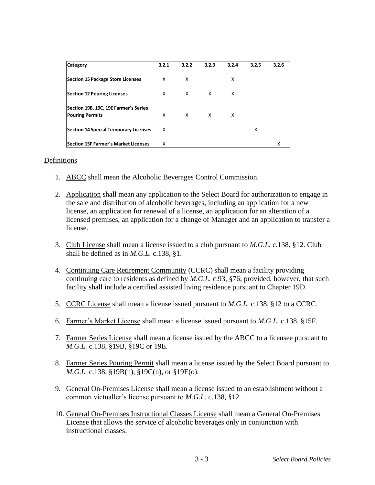| <b>Category</b>                                                 | 3.2.1 | 3.2.2 | 3.2.3 | 3.2.4 | 3.2.5 | 3.2.6 |
|-----------------------------------------------------------------|-------|-------|-------|-------|-------|-------|
| Section 15 Package Store Licenses                               | x     | X     |       | x     |       |       |
| <b>Section 12 Pouring Licenses</b>                              | x     | x     | X     | x     |       |       |
| Section 19B, 19C, 19E Farmer's Series<br><b>Pouring Permits</b> | X     | X     | X     | x     |       |       |
| Section 14 Special Temporary Licenses                           | X     |       |       |       | x     |       |
| Section 15F Farmer's Market Licenses                            | x     |       |       |       |       | χ     |

#### Definitions

- 1. ABCC shall mean the Alcoholic Beverages Control Commission.
- 2. Application shall mean any application to the Select Board for authorization to engage in the sale and distribution of alcoholic beverages, including an application for a new license, an application for renewal of a license, an application for an alteration of a licensed premises, an application for a change of Manager and an application to transfer a license.
- 3. Club License shall mean a license issued to a club pursuant to *M.G.L.* c.138, §12. Club shall be defined as in *M.G.L.* c.138, §1.
- 4. Continuing Care Retirement Community (CCRC) shall mean a facility providing continuing care to residents as defined by *M.G.L.* c.93, §76; provided, however, that such facility shall include a certified assisted living residence pursuant to Chapter 19D.
- 5. CCRC License shall mean a license issued pursuant to *M.G.L.* c.138, §12 to a CCRC.
- 6. Farmer's Market License shall mean a license issued pursuant to *M.G.L.* c.138, §15F.
- 7. Farmer Series License shall mean a license issued by the ABCC to a licensee pursuant to *M.G.L.* c.138, §19B, §19C or 19E.
- 8. Farmer Series Pouring Permit shall mean a license issued by the Select Board pursuant to *M.G.L.* c.138, §19B(n), §19C(n), or §19E(o).
- 9. General On-Premises License shall mean a license issued to an establishment without a common victualler's license pursuant to *M.G.L.* c.138, §12.
- 10. General On-Premises Instructional Classes License shall mean a General On-Premises License that allows the service of alcoholic beverages only in conjunction with instructional classes.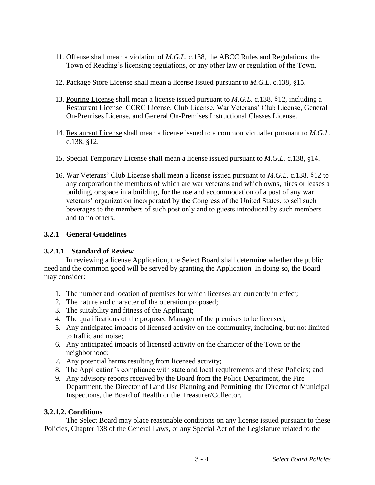- 11. Offense shall mean a violation of *M.G.L.* c.138, the ABCC Rules and Regulations, the Town of Reading's licensing regulations, or any other law or regulation of the Town.
- 12. Package Store License shall mean a license issued pursuant to *M.G.L.* c.138, §15.
- 13. Pouring License shall mean a license issued pursuant to *M.G.L.* c.138, §12, including a Restaurant License, CCRC License, Club License, War Veterans' Club License, General On-Premises License, and General On-Premises Instructional Classes License.
- 14. Restaurant License shall mean a license issued to a common victualler pursuant to *M.G.L.*  c.138, §12.
- 15. Special Temporary License shall mean a license issued pursuant to *M.G.L.* c.138, §14.
- 16. War Veterans' Club License shall mean a license issued pursuant to *M.G.L.* c.138, §12 to any corporation the members of which are war veterans and which owns, hires or leases a building, or space in a building, for the use and accommodation of a post of any war veterans' organization incorporated by the Congress of the United States, to sell such beverages to the members of such post only and to guests introduced by such members and to no others.

# **3.2.1 – General Guidelines**

# **3.2.1.1 – Standard of Review**

In reviewing a license Application, the Select Board shall determine whether the public need and the common good will be served by granting the Application. In doing so, the Board may consider:

- 1. The number and location of premises for which licenses are currently in effect;
- 2. The nature and character of the operation proposed;
- 3. The suitability and fitness of the Applicant;
- 4. The qualifications of the proposed Manager of the premises to be licensed;
- 5. Any anticipated impacts of licensed activity on the community, including, but not limited to traffic and noise;
- 6. Any anticipated impacts of licensed activity on the character of the Town or the neighborhood;
- 7. Any potential harms resulting from licensed activity;
- 8. The Application's compliance with state and local requirements and these Policies; and
- 9. Any advisory reports received by the Board from the Police Department, the Fire Department, the Director of Land Use Planning and Permitting, the Director of Municipal Inspections, the Board of Health or the Treasurer/Collector.

## **3.2.1.2. Conditions**

The Select Board may place reasonable conditions on any license issued pursuant to these Policies, Chapter 138 of the General Laws, or any Special Act of the Legislature related to the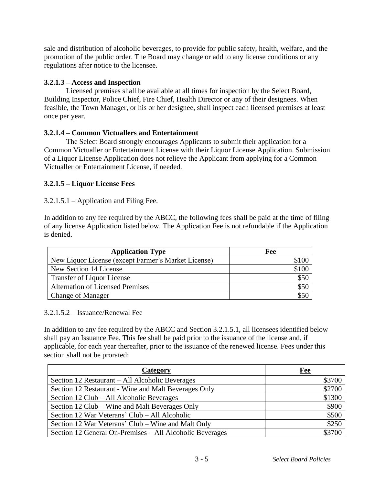sale and distribution of alcoholic beverages, to provide for public safety, health, welfare, and the promotion of the public order. The Board may change or add to any license conditions or any regulations after notice to the licensee.

# **3.2.1.3 – Access and Inspection**

Licensed premises shall be available at all times for inspection by the Select Board, Building Inspector, Police Chief, Fire Chief, Health Director or any of their designees. When feasible, the Town Manager, or his or her designee, shall inspect each licensed premises at least once per year.

# **3.2.1.4 – Common Victuallers and Entertainment**

The Select Board strongly encourages Applicants to submit their application for a Common Victualler or Entertainment License with their Liquor License Application. Submission of a Liquor License Application does not relieve the Applicant from applying for a Common Victualler or Entertainment License, if needed.

# **3.2.1.5 – Liquor License Fees**

## 3.2.1.5.1 – Application and Filing Fee.

In addition to any fee required by the ABCC, the following fees shall be paid at the time of filing of any license Application listed below. The Application Fee is not refundable if the Application is denied.

| <b>Application Type</b>                             | Fee   |
|-----------------------------------------------------|-------|
| New Liquor License (except Farmer's Market License) | \$100 |
| New Section 14 License                              | \$100 |
| <b>Transfer of Liquor License</b>                   | \$50  |
| <b>Alternation of Licensed Premises</b>             | \$50  |
| <b>Change of Manager</b>                            | \$50  |

## 3.2.1.5.2 – Issuance/Renewal Fee

In addition to any fee required by the ABCC and Section 3.2.1.5.1, all licensees identified below shall pay an Issuance Fee. This fee shall be paid prior to the issuance of the license and, if applicable, for each year thereafter, prior to the issuance of the renewed license. Fees under this section shall not be prorated:

| Category                                                 | <b>Fee</b> |
|----------------------------------------------------------|------------|
| Section 12 Restaurant - All Alcoholic Beverages          | \$3700     |
| Section 12 Restaurant - Wine and Malt Beverages Only     | \$2700     |
| Section 12 Club - All Alcoholic Beverages                | \$1300     |
| Section 12 Club – Wine and Malt Beverages Only           | \$900      |
| Section 12 War Veterans' Club – All Alcoholic            | \$500      |
| Section 12 War Veterans' Club – Wine and Malt Only       | \$250      |
| Section 12 General On-Premises - All Alcoholic Beverages | \$3700     |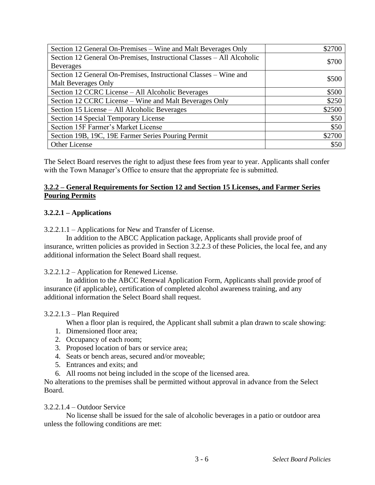| Section 12 General On-Premises – Wine and Malt Beverages Only         | \$2700 |
|-----------------------------------------------------------------------|--------|
| Section 12 General On-Premises, Instructional Classes – All Alcoholic | \$700  |
| <b>Beverages</b>                                                      |        |
| Section 12 General On-Premises, Instructional Classes - Wine and      | \$500  |
| Malt Beverages Only                                                   |        |
| Section 12 CCRC License – All Alcoholic Beverages                     | \$500  |
| Section 12 CCRC License – Wine and Malt Beverages Only                | \$250  |
| Section 15 License - All Alcoholic Beverages                          | \$2500 |
| Section 14 Special Temporary License                                  | \$50   |
| Section 15F Farmer's Market License                                   | \$50   |
| Section 19B, 19C, 19E Farmer Series Pouring Permit                    | \$2700 |
| Other License                                                         | \$50   |

The Select Board reserves the right to adjust these fees from year to year. Applicants shall confer with the Town Manager's Office to ensure that the appropriate fee is submitted.

## **3.2.2 – General Requirements for Section 12 and Section 15 Licenses, and Farmer Series Pouring Permits**

# **3.2.2.1 – Applications**

3.2.2.1.1 – Applications for New and Transfer of License.

In addition to the ABCC Application package, Applicants shall provide proof of insurance, written policies as provided in Section 3.2.2.3 of these Policies, the local fee, and any additional information the Select Board shall request.

3.2.2.1.2 – Application for Renewed License.

In addition to the ABCC Renewal Application Form, Applicants shall provide proof of insurance (if applicable), certification of completed alcohol awareness training, and any additional information the Select Board shall request.

## 3.2.2.1.3 – Plan Required

When a floor plan is required, the Applicant shall submit a plan drawn to scale showing:

- 1. Dimensioned floor area;
- 2. Occupancy of each room;
- 3. Proposed location of bars or service area;
- 4. Seats or bench areas, secured and/or moveable;
- 5. Entrances and exits; and
- 6. All rooms not being included in the scope of the licensed area.

No alterations to the premises shall be permitted without approval in advance from the Select Board.

#### 3.2.2.1.4 – Outdoor Service

No license shall be issued for the sale of alcoholic beverages in a patio or outdoor area unless the following conditions are met: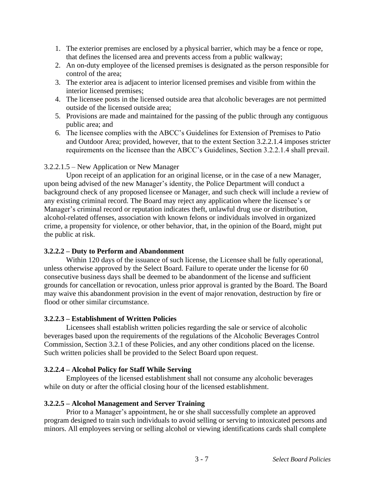- 1. The exterior premises are enclosed by a physical barrier, which may be a fence or rope, that defines the licensed area and prevents access from a public walkway;
- 2. An on-duty employee of the licensed premises is designated as the person responsible for control of the area;
- 3. The exterior area is adjacent to interior licensed premises and visible from within the interior licensed premises;
- 4. The licensee posts in the licensed outside area that alcoholic beverages are not permitted outside of the licensed outside area;
- 5. Provisions are made and maintained for the passing of the public through any contiguous public area; and
- 6. The licensee complies with the ABCC's Guidelines for Extension of Premises to Patio and Outdoor Area; provided, however, that to the extent Section 3.2.2.1.4 imposes stricter requirements on the licensee than the ABCC's Guidelines, Section 3.2.2.1.4 shall prevail.

## 3.2.2.1.5 – New Application or New Manager

Upon receipt of an application for an original license, or in the case of a new Manager, upon being advised of the new Manager's identity, the Police Department will conduct a background check of any proposed licensee or Manager, and such check will include a review of any existing criminal record. The Board may reject any application where the licensee's or Manager's criminal record or reputation indicates theft, unlawful drug use or distribution, alcohol-related offenses, association with known felons or individuals involved in organized crime, a propensity for violence, or other behavior, that, in the opinion of the Board, might put the public at risk.

## **3.2.2.2 – Duty to Perform and Abandonment**

Within 120 days of the issuance of such license, the Licensee shall be fully operational, unless otherwise approved by the Select Board. Failure to operate under the license for 60 consecutive business days shall be deemed to be abandonment of the license and sufficient grounds for cancellation or revocation, unless prior approval is granted by the Board. The Board may waive this abandonment provision in the event of major renovation, destruction by fire or flood or other similar circumstance.

## **3.2.2.3 – Establishment of Written Policies**

Licensees shall establish written policies regarding the sale or service of alcoholic beverages based upon the requirements of the regulations of the Alcoholic Beverages Control Commission, Section 3.2.1 of these Policies, and any other conditions placed on the license. Such written policies shall be provided to the Select Board upon request.

## **3.2.2.4 – Alcohol Policy for Staff While Serving**

Employees of the licensed establishment shall not consume any alcoholic beverages while on duty or after the official closing hour of the licensed establishment.

## **3.2.2.5 – Alcohol Management and Server Training**

Prior to a Manager's appointment, he or she shall successfully complete an approved program designed to train such individuals to avoid selling or serving to intoxicated persons and minors. All employees serving or selling alcohol or viewing identifications cards shall complete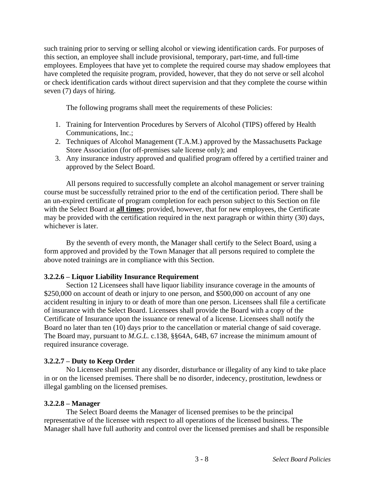such training prior to serving or selling alcohol or viewing identification cards. For purposes of this section, an employee shall include provisional, temporary, part-time, and full-time employees. Employees that have yet to complete the required course may shadow employees that have completed the requisite program, provided, however, that they do not serve or sell alcohol or check identification cards without direct supervision and that they complete the course within seven (7) days of hiring.

The following programs shall meet the requirements of these Policies:

- 1. Training for Intervention Procedures by Servers of Alcohol (TIPS) offered by Health Communications, Inc.;
- 2. Techniques of Alcohol Management (T.A.M.) approved by the Massachusetts Package Store Association (for off-premises sale license only); and
- 3. Any insurance industry approved and qualified program offered by a certified trainer and approved by the Select Board.

All persons required to successfully complete an alcohol management or server training course must be successfully retrained prior to the end of the certification period. There shall be an un-expired certificate of program completion for each person subject to this Section on file with the Select Board at **all times**; provided, however, that for new employees, the Certificate may be provided with the certification required in the next paragraph or within thirty (30) days, whichever is later.

By the seventh of every month, the Manager shall certify to the Select Board, using a form approved and provided by the Town Manager that all persons required to complete the above noted trainings are in compliance with this Section.

## **3.2.2.6 – Liquor Liability Insurance Requirement**

Section 12 Licensees shall have liquor liability insurance coverage in the amounts of \$250,000 on account of death or injury to one person, and \$500,000 on account of any one accident resulting in injury to or death of more than one person. Licensees shall file a certificate of insurance with the Select Board. Licensees shall provide the Board with a copy of the Certificate of Insurance upon the issuance or renewal of a license. Licensees shall notify the Board no later than ten (10) days prior to the cancellation or material change of said coverage. The Board may, pursuant to *M.G.L.* c.138, §§64A, 64B, 67 increase the minimum amount of required insurance coverage.

# **3.2.2.7 – Duty to Keep Order**

No Licensee shall permit any disorder, disturbance or illegality of any kind to take place in or on the licensed premises. There shall be no disorder, indecency, prostitution, lewdness or illegal gambling on the licensed premises.

## **3.2.2.8 – Manager**

The Select Board deems the Manager of licensed premises to be the principal representative of the licensee with respect to all operations of the licensed business. The Manager shall have full authority and control over the licensed premises and shall be responsible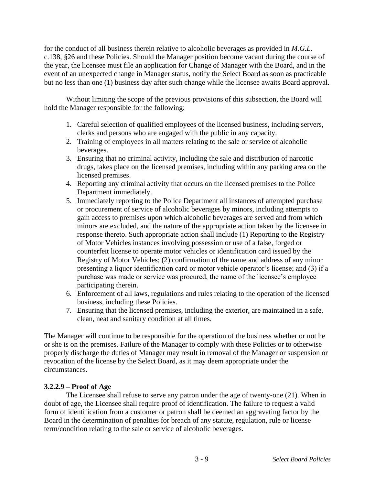for the conduct of all business therein relative to alcoholic beverages as provided in *M.G.L.*  c.138, §26 and these Policies. Should the Manager position become vacant during the course of the year, the licensee must file an application for Change of Manager with the Board, and in the event of an unexpected change in Manager status, notify the Select Board as soon as practicable but no less than one (1) business day after such change while the licensee awaits Board approval.

Without limiting the scope of the previous provisions of this subsection, the Board will hold the Manager responsible for the following:

- 1. Careful selection of qualified employees of the licensed business, including servers, clerks and persons who are engaged with the public in any capacity.
- 2. Training of employees in all matters relating to the sale or service of alcoholic beverages.
- 3. Ensuring that no criminal activity, including the sale and distribution of narcotic drugs, takes place on the licensed premises, including within any parking area on the licensed premises.
- 4. Reporting any criminal activity that occurs on the licensed premises to the Police Department immediately.
- 5. Immediately reporting to the Police Department all instances of attempted purchase or procurement of service of alcoholic beverages by minors, including attempts to gain access to premises upon which alcoholic beverages are served and from which minors are excluded, and the nature of the appropriate action taken by the licensee in response thereto. Such appropriate action shall include (1) Reporting to the Registry of Motor Vehicles instances involving possession or use of a false, forged or counterfeit license to operate motor vehicles or identification card issued by the Registry of Motor Vehicles; (2) confirmation of the name and address of any minor presenting a liquor identification card or motor vehicle operator's license; and (3) if a purchase was made or service was procured, the name of the licensee's employee participating therein.
- 6. Enforcement of all laws, regulations and rules relating to the operation of the licensed business, including these Policies.
- 7. Ensuring that the licensed premises, including the exterior, are maintained in a safe, clean, neat and sanitary condition at all times.

The Manager will continue to be responsible for the operation of the business whether or not he or she is on the premises. Failure of the Manager to comply with these Policies or to otherwise properly discharge the duties of Manager may result in removal of the Manager or suspension or revocation of the license by the Select Board, as it may deem appropriate under the circumstances.

## **3.2.2.9 – Proof of Age**

The Licensee shall refuse to serve any patron under the age of twenty-one (21). When in doubt of age, the Licensee shall require proof of identification. The failure to request a valid form of identification from a customer or patron shall be deemed an aggravating factor by the Board in the determination of penalties for breach of any statute, regulation, rule or license term/condition relating to the sale or service of alcoholic beverages.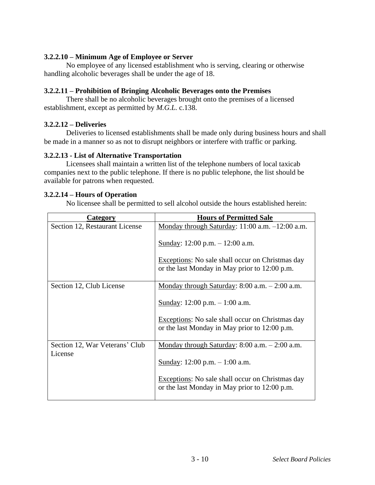## **3.2.2.10 – Minimum Age of Employee or Server**

No employee of any licensed establishment who is serving, clearing or otherwise handling alcoholic beverages shall be under the age of 18.

### **3.2.2.11 – Prohibition of Bringing Alcoholic Beverages onto the Premises**

There shall be no alcoholic beverages brought onto the premises of a licensed establishment, except as permitted by *M.G.L.* c.138.

## **3.2.2.12 – Deliveries**

Deliveries to licensed establishments shall be made only during business hours and shall be made in a manner so as not to disrupt neighbors or interfere with traffic or parking.

### **3.2.2.13 - List of Alternative Transportation**

Licensees shall maintain a written list of the telephone numbers of local taxicab companies next to the public telephone. If there is no public telephone, the list should be available for patrons when requested.

## **3.2.2.14 – Hours of Operation**

No licensee shall be permitted to sell alcohol outside the hours established herein:

| Category                                  | <b>Hours of Permitted Sale</b>                                                                           |
|-------------------------------------------|----------------------------------------------------------------------------------------------------------|
| Section 12, Restaurant License            | Monday through Saturday: $11:00$ a.m. $-12:00$ a.m.                                                      |
|                                           | Sunday: $12:00$ p.m. $- 12:00$ a.m.                                                                      |
|                                           | Exceptions: No sale shall occur on Christmas day<br>or the last Monday in May prior to 12:00 p.m.        |
| Section 12, Club License                  | <u>Monday through Saturday</u> : 8:00 a.m. $- 2:00$ a.m.                                                 |
|                                           | Sunday: $12:00$ p.m. $-1:00$ a.m.                                                                        |
|                                           | <b>Exceptions:</b> No sale shall occur on Christmas day<br>or the last Monday in May prior to 12:00 p.m. |
| Section 12, War Veterans' Club<br>License | Monday through Saturday: $8:00$ a.m. $-2:00$ a.m.                                                        |
|                                           | Sunday: 12:00 p.m. $- 1:00$ a.m.                                                                         |
|                                           | Exceptions: No sale shall occur on Christmas day<br>or the last Monday in May prior to 12:00 p.m.        |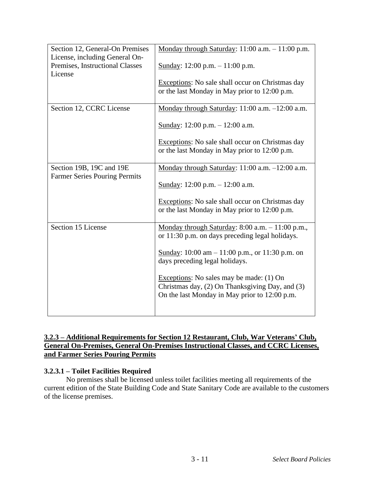| Section 12, General-On Premises                                              | Monday through Saturday: $11:00$ a.m. $-11:00$ p.m.                                                                                          |
|------------------------------------------------------------------------------|----------------------------------------------------------------------------------------------------------------------------------------------|
| License, including General On-<br>Premises, Instructional Classes<br>License | Sunday: $12:00$ p.m. $-11:00$ p.m.                                                                                                           |
|                                                                              | Exceptions: No sale shall occur on Christmas day<br>or the last Monday in May prior to 12:00 p.m.                                            |
| Section 12, CCRC License                                                     | Monday through Saturday: 11:00 a.m. -12:00 a.m.                                                                                              |
|                                                                              | Sunday: $12:00$ p.m. $- 12:00$ a.m.                                                                                                          |
|                                                                              | Exceptions: No sale shall occur on Christmas day<br>or the last Monday in May prior to 12:00 p.m.                                            |
| Section 19B, 19C and 19E<br><b>Farmer Series Pouring Permits</b>             | Monday through Saturday: 11:00 a.m. -12:00 a.m.                                                                                              |
|                                                                              | Sunday: $12:00$ p.m. $- 12:00$ a.m.                                                                                                          |
|                                                                              | Exceptions: No sale shall occur on Christmas day<br>or the last Monday in May prior to 12:00 p.m.                                            |
| Section 15 License                                                           | Monday through Saturday: $8:00$ a.m. $-11:00$ p.m.,<br>or 11:30 p.m. on days preceding legal holidays.                                       |
|                                                                              | Sunday: $10:00 \text{ am} - 11:00 \text{ p.m.}, \text{ or } 11:30 \text{ p.m.} \text{ on }$<br>days preceding legal holidays.                |
|                                                                              | Exceptions: No sales may be made: (1) On<br>Christmas day, (2) On Thanksgiving Day, and (3)<br>On the last Monday in May prior to 12:00 p.m. |
|                                                                              |                                                                                                                                              |

# **3.2.3 – Additional Requirements for Section 12 Restaurant, Club, War Veterans' Club, General On-Premises, General On-Premises Instructional Classes, and CCRC Licenses, and Farmer Series Pouring Permits**

## **3.2.3.1 – Toilet Facilities Required**

No premises shall be licensed unless toilet facilities meeting all requirements of the current edition of the State Building Code and State Sanitary Code are available to the customers of the license premises.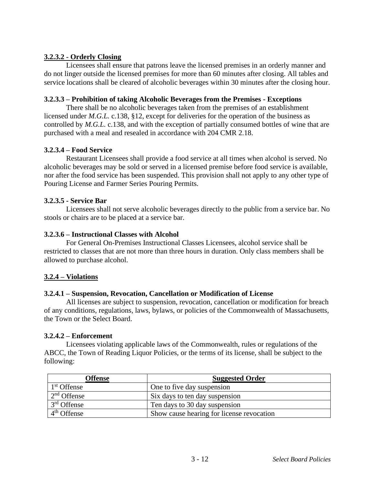# **3.2.3.2 - Orderly Closing**

Licensees shall ensure that patrons leave the licensed premises in an orderly manner and do not linger outside the licensed premises for more than 60 minutes after closing. All tables and service locations shall be cleared of alcoholic beverages within 30 minutes after the closing hour.

## **3.2.3.3 – Prohibition of taking Alcoholic Beverages from the Premises - Exceptions**

There shall be no alcoholic beverages taken from the premises of an establishment licensed under *M.G.L.* c.138, §12, except for deliveries for the operation of the business as controlled by *M.G.L.* c.138, and with the exception of partially consumed bottles of wine that are purchased with a meal and resealed in accordance with 204 CMR 2.18.

# **3.2.3.4 – Food Service**

Restaurant Licensees shall provide a food service at all times when alcohol is served. No alcoholic beverages may be sold or served in a licensed premise before food service is available, nor after the food service has been suspended. This provision shall not apply to any other type of Pouring License and Farmer Series Pouring Permits.

# **3.2.3.5 - Service Bar**

Licensees shall not serve alcoholic beverages directly to the public from a service bar. No stools or chairs are to be placed at a service bar.

## **3.2.3.6 – Instructional Classes with Alcohol**

For General On-Premises Instructional Classes Licensees, alcohol service shall be restricted to classes that are not more than three hours in duration. Only class members shall be allowed to purchase alcohol.

## **3.2.4 – Violations**

## **3.2.4.1 – Suspension, Revocation, Cancellation or Modification of License**

All licenses are subject to suspension, revocation, cancellation or modification for breach of any conditions, regulations, laws, bylaws, or policies of the Commonwealth of Massachusetts, the Town or the Select Board.

## **3.2.4.2 – Enforcement**

Licensees violating applicable laws of the Commonwealth, rules or regulations of the ABCC, the Town of Reading Liquor Policies, or the terms of its license, shall be subject to the following:

| Offense                 | <b>Suggested Order</b>                    |
|-------------------------|-------------------------------------------|
| 1 <sup>st</sup> Offense | One to five day suspension                |
| $2nd$ Offense           | Six days to ten day suspension            |
| 3 <sup>rd</sup> Offense | Ten days to 30 day suspension             |
| $4th$ Offense           | Show cause hearing for license revocation |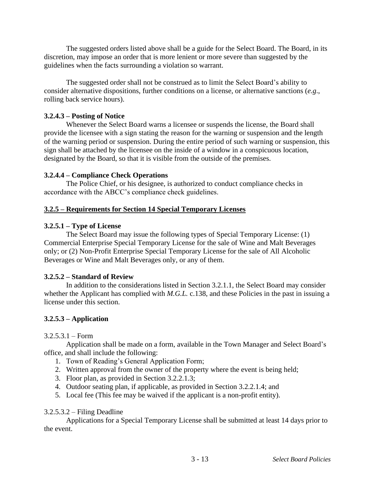The suggested orders listed above shall be a guide for the Select Board. The Board, in its discretion, may impose an order that is more lenient or more severe than suggested by the guidelines when the facts surrounding a violation so warrant.

The suggested order shall not be construed as to limit the Select Board's ability to consider alternative dispositions, further conditions on a license, or alternative sanctions (*e.g*., rolling back service hours).

### **3.2.4.3 – Posting of Notice**

Whenever the Select Board warns a licensee or suspends the license, the Board shall provide the licensee with a sign stating the reason for the warning or suspension and the length of the warning period or suspension. During the entire period of such warning or suspension, this sign shall be attached by the licensee on the inside of a window in a conspicuous location, designated by the Board, so that it is visible from the outside of the premises.

### **3.2.4.4 – Compliance Check Operations**

The Police Chief, or his designee, is authorized to conduct compliance checks in accordance with the ABCC's compliance check guidelines.

### **3.2.5 – Requirements for Section 14 Special Temporary Licenses**

### **3.2.5.1 – Type of License**

The Select Board may issue the following types of Special Temporary License: (1) Commercial Enterprise Special Temporary License for the sale of Wine and Malt Beverages only; or (2) Non-Profit Enterprise Special Temporary License for the sale of All Alcoholic Beverages or Wine and Malt Beverages only, or any of them.

#### **3.2.5.2 – Standard of Review**

In addition to the considerations listed in Section 3.2.1.1, the Select Board may consider whether the Applicant has complied with *M.G.L.* c.138, and these Policies in the past in issuing a license under this section.

## **3.2.5.3 – Application**

#### $3.2.5.3.1 - Form$

Application shall be made on a form, available in the Town Manager and Select Board's office, and shall include the following:

- 1. Town of Reading's General Application Form;
- 2. Written approval from the owner of the property where the event is being held;
- 3. Floor plan, as provided in Section 3.2.2.1.3;
- 4. Outdoor seating plan, if applicable, as provided in Section 3.2.2.1.4; and
- 5. Local fee (This fee may be waived if the applicant is a non-profit entity).

#### 3.2.5.3.2 – Filing Deadline

Applications for a Special Temporary License shall be submitted at least 14 days prior to the event.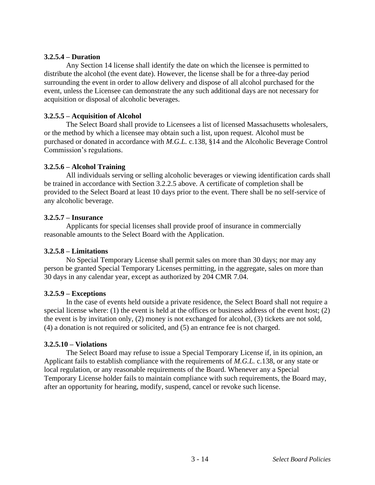### **3.2.5.4 – Duration**

Any Section 14 license shall identify the date on which the licensee is permitted to distribute the alcohol (the event date). However, the license shall be for a three-day period surrounding the event in order to allow delivery and dispose of all alcohol purchased for the event, unless the Licensee can demonstrate the any such additional days are not necessary for acquisition or disposal of alcoholic beverages.

### **3.2.5.5 – Acquisition of Alcohol**

The Select Board shall provide to Licensees a list of licensed Massachusetts wholesalers, or the method by which a licensee may obtain such a list, upon request. Alcohol must be purchased or donated in accordance with *M.G.L.* c.138, §14 and the Alcoholic Beverage Control Commission's regulations.

### **3.2.5.6 – Alcohol Training**

All individuals serving or selling alcoholic beverages or viewing identification cards shall be trained in accordance with Section 3.2.2.5 above. A certificate of completion shall be provided to the Select Board at least 10 days prior to the event. There shall be no self-service of any alcoholic beverage.

#### **3.2.5.7 – Insurance**

Applicants for special licenses shall provide proof of insurance in commercially reasonable amounts to the Select Board with the Application.

#### **3.2.5.8 – Limitations**

No Special Temporary License shall permit sales on more than 30 days; nor may any person be granted Special Temporary Licenses permitting, in the aggregate, sales on more than 30 days in any calendar year, except as authorized by 204 CMR 7.04.

#### **3.2.5.9 – Exceptions**

In the case of events held outside a private residence, the Select Board shall not require a special license where: (1) the event is held at the offices or business address of the event host; (2) the event is by invitation only, (2) money is not exchanged for alcohol, (3) tickets are not sold, (4) a donation is not required or solicited, and (5) an entrance fee is not charged.

#### **3.2.5.10 – Violations**

The Select Board may refuse to issue a Special Temporary License if, in its opinion, an Applicant fails to establish compliance with the requirements of *M.G.L.* c.138, or any state or local regulation, or any reasonable requirements of the Board. Whenever any a Special Temporary License holder fails to maintain compliance with such requirements, the Board may, after an opportunity for hearing, modify, suspend, cancel or revoke such license.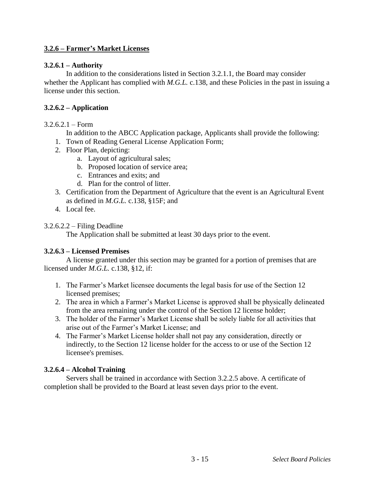# **3.2.6 – Farmer's Market Licenses**

### **3.2.6.1 – Authority**

In addition to the considerations listed in Section 3.2.1.1, the Board may consider whether the Applicant has complied with *M.G.L.* c.138, and these Policies in the past in issuing a license under this section.

## **3.2.6.2 – Application**

### $3.2.6.2.1 - Form$

In addition to the ABCC Application package, Applicants shall provide the following:

- 1. Town of Reading General License Application Form;
- 2. Floor Plan, depicting:
	- a. Layout of agricultural sales;
	- b. Proposed location of service area;
	- c. Entrances and exits; and
	- d. Plan for the control of litter.
- 3. Certification from the Department of Agriculture that the event is an Agricultural Event as defined in *M.G.L.* c.138, §15F; and
- 4. Local fee.

## 3.2.6.2.2 – Filing Deadline

The Application shall be submitted at least 30 days prior to the event.

## **3.2.6.3 – Licensed Premises**

A license granted under this section may be granted for a portion of premises that are licensed under *M.G.L.* c.138, §12, if:

- 1. The Farmer's Market licensee documents the legal basis for use of the Section 12 licensed premises;
- 2. The area in which a Farmer's Market License is approved shall be physically delineated from the area remaining under the control of the Section 12 license holder;
- 3. The holder of the Farmer's Market License shall be solely liable for all activities that arise out of the Farmer's Market License; and
- 4. The Farmer's Market License holder shall not pay any consideration, directly or indirectly, to the Section 12 license holder for the access to or use of the Section 12 licensee's premises.

## **3.2.6.4 – Alcohol Training**

Servers shall be trained in accordance with Section 3.2.2.5 above. A certificate of completion shall be provided to the Board at least seven days prior to the event.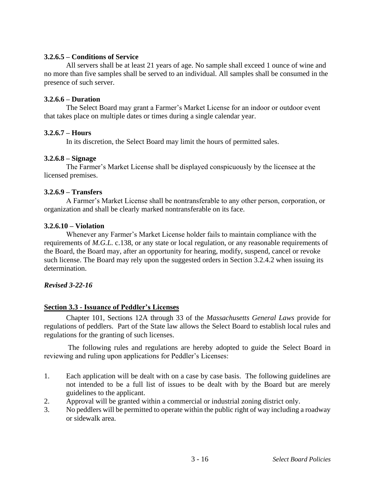### **3.2.6.5 – Conditions of Service**

All servers shall be at least 21 years of age. No sample shall exceed 1 ounce of wine and no more than five samples shall be served to an individual. All samples shall be consumed in the presence of such server.

### **3.2.6.6 – Duration**

The Select Board may grant a Farmer's Market License for an indoor or outdoor event that takes place on multiple dates or times during a single calendar year.

### **3.2.6.7 – Hours**

In its discretion, the Select Board may limit the hours of permitted sales.

### **3.2.6.8 – Signage**

The Farmer's Market License shall be displayed conspicuously by the licensee at the licensed premises.

### **3.2.6.9 – Transfers**

A Farmer's Market License shall be nontransferable to any other person, corporation, or organization and shall be clearly marked nontransferable on its face.

### **3.2.6.10 – Violation**

Whenever any Farmer's Market License holder fails to maintain compliance with the requirements of *M.G.L.* c.138, or any state or local regulation, or any reasonable requirements of the Board, the Board may, after an opportunity for hearing, modify, suspend, cancel or revoke such license. The Board may rely upon the suggested orders in Section 3.2.4.2 when issuing its determination.

#### *Revised 3-22-16*

## **Section 3.3 - Issuance of Peddler's Licenses**

Chapter 101, Sections 12A through 33 of the *Massachusetts General Laws* provide for regulations of peddlers. Part of the State law allows the Select Board to establish local rules and regulations for the granting of such licenses.

The following rules and regulations are hereby adopted to guide the Select Board in reviewing and ruling upon applications for Peddler's Licenses:

- 1. Each application will be dealt with on a case by case basis. The following guidelines are not intended to be a full list of issues to be dealt with by the Board but are merely guidelines to the applicant.
- 2. Approval will be granted within a commercial or industrial zoning district only.
- 3. No peddlers will be permitted to operate within the public right of way including a roadway or sidewalk area.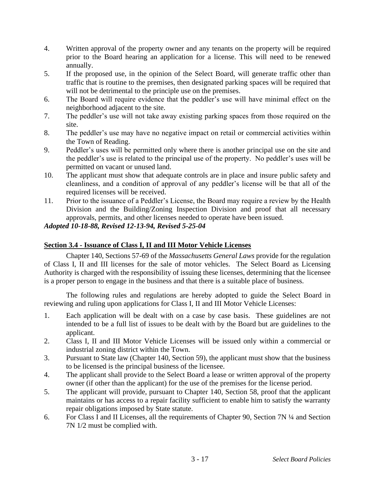- 4. Written approval of the property owner and any tenants on the property will be required prior to the Board hearing an application for a license. This will need to be renewed annually.
- 5. If the proposed use, in the opinion of the Select Board, will generate traffic other than traffic that is routine to the premises, then designated parking spaces will be required that will not be detrimental to the principle use on the premises.
- 6. The Board will require evidence that the peddler's use will have minimal effect on the neighborhood adjacent to the site.
- 7. The peddler's use will not take away existing parking spaces from those required on the site.
- 8. The peddler's use may have no negative impact on retail or commercial activities within the Town of Reading.
- 9. Peddler's uses will be permitted only where there is another principal use on the site and the peddler's use is related to the principal use of the property. No peddler's uses will be permitted on vacant or unused land.
- 10. The applicant must show that adequate controls are in place and insure public safety and cleanliness, and a condition of approval of any peddler's license will be that all of the required licenses will be received.
- 11. Prior to the issuance of a Peddler's License, the Board may require a review by the Health Division and the Building/Zoning Inspection Division and proof that all necessary approvals, permits, and other licenses needed to operate have been issued.

# *Adopted 10-18-88, Revised 12-13-94, Revised 5-25-04*

# **Section 3.4 - Issuance of Class I, II and III Motor Vehicle Licenses**

Chapter 140, Sections 57-69 of the *Massachusetts General Laws* provide for the regulation of Class I, II and III licenses for the sale of motor vehicles. The Select Board as Licensing Authority is charged with the responsibility of issuing these licenses, determining that the licensee is a proper person to engage in the business and that there is a suitable place of business.

The following rules and regulations are hereby adopted to guide the Select Board in reviewing and ruling upon applications for Class I, II and III Motor Vehicle Licenses:

- 1. Each application will be dealt with on a case by case basis. These guidelines are not intended to be a full list of issues to be dealt with by the Board but are guidelines to the applicant.
- 2. Class I, II and III Motor Vehicle Licenses will be issued only within a commercial or industrial zoning district within the Town.
- 3. Pursuant to State law (Chapter 140, Section 59), the applicant must show that the business to be licensed is the principal business of the licensee.
- 4. The applicant shall provide to the Select Board a lease or written approval of the property owner (if other than the applicant) for the use of the premises for the license period.
- 5. The applicant will provide, pursuant to Chapter 140, Section 58, proof that the applicant maintains or has access to a repair facility sufficient to enable him to satisfy the warranty repair obligations imposed by State statute.
- 6. For Class I and II Licenses, all the requirements of Chapter 90, Section 7N ¼ and Section 7N 1/2 must be complied with.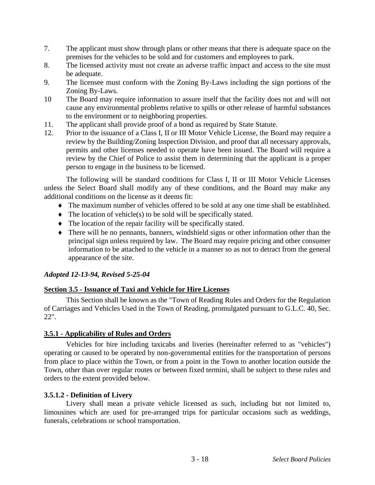- 7. The applicant must show through plans or other means that there is adequate space on the premises for the vehicles to be sold and for customers and employees to park.
- 8. The licensed activity must not create an adverse traffic impact and access to the site must be adequate.
- 9. The licensee must conform with the Zoning By-Laws including the sign portions of the Zoning By-Laws.
- 10 The Board may require information to assure itself that the facility does not and will not cause any environmental problems relative to spills or other release of harmful substances to the environment or to neighboring properties.
- 11. The applicant shall provide proof of a bond as required by State Statute.
- 12. Prior to the issuance of a Class I, II or III Motor Vehicle License, the Board may require a review by the Building/Zoning Inspection Division, and proof that all necessary approvals, permits and other licenses needed to operate have been issued. The Board will require a review by the Chief of Police to assist them in determining that the applicant is a proper person to engage in the business to be licensed.

The following will be standard conditions for Class I, II or III Motor Vehicle Licenses unless the Select Board shall modify any of these conditions, and the Board may make any additional conditions on the license as it deems fit:

- The maximum number of vehicles offered to be sold at any one time shall be established.
- $\blacklozenge$  The location of vehicle(s) to be sold will be specifically stated.
- The location of the repair facility will be specifically stated.
- There will be no pennants, banners, windshield signs or other information other than the principal sign unless required by law. The Board may require pricing and other consumer information to be attached to the vehicle in a manner so as not to detract from the general appearance of the site.

## *Adopted 12-13-94, Revised 5-25-04*

## **Section 3.5 - Issuance of Taxi and Vehicle for Hire Licenses**

This Section shall be known as the "Town of Reading Rules and Orders for the Regulation of Carriages and Vehicles Used in the Town of Reading, promulgated pursuant to G.L.C. 40, Sec. 22".

#### **3.5.1 - Applicability of Rules and Orders**

Vehicles for hire including taxicabs and liveries (hereinafter referred to as "vehicles") operating or caused to be operated by non-governmental entities for the transportation of persons from place to place within the Town, or from a point in the Town to another location outside the Town, other than over regular routes or between fixed termini, shall be subject to these rules and orders to the extent provided below.

#### **3.5.1.2 - Definition of Livery**

Livery shall mean a private vehicle licensed as such, including but not limited to, limousines which are used for pre-arranged trips for particular occasions such as weddings, funerals, celebrations or school transportation.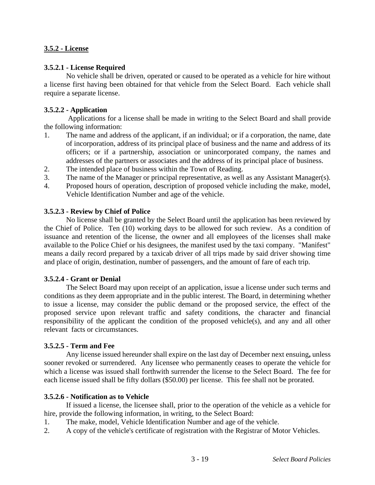# **3.5.2 - License**

## **3.5.2.1 - License Required**

No vehicle shall be driven, operated or caused to be operated as a vehicle for hire without a license first having been obtained for that vehicle from the Select Board. Each vehicle shall require a separate license.

## **3.5.2.2 - Application**

Applications for a license shall be made in writing to the Select Board and shall provide the following information:

- 1. The name and address of the applicant, if an individual; or if a corporation, the name, date of incorporation, address of its principal place of business and the name and address of its officers; or if a partnership, association or unincorporated company, the names and addresses of the partners or associates and the address of its principal place of business.
- 2. The intended place of business within the Town of Reading.
- 3. The name of the Manager or principal representative, as well as any Assistant Manager(s).
- 4. Proposed hours of operation, description of proposed vehicle including the make, model, Vehicle Identification Number and age of the vehicle.

# **3.5.2.3 - Review by Chief of Police**

No license shall be granted by the Select Board until the application has been reviewed by the Chief of Police. Ten (10) working days to be allowed for such review. As a condition of issuance and retention of the license, the owner and all employees of the licenses shall make available to the Police Chief or his designees, the manifest used by the taxi company. "Manifest" means a daily record prepared by a taxicab driver of all trips made by said driver showing time and place of origin, destination, number of passengers, and the amount of fare of each trip.

# **3.5.2.4 - Grant or Denial**

The Select Board may upon receipt of an application, issue a license under such terms and conditions as they deem appropriate and in the public interest. The Board, in determining whether to issue a license, may consider the public demand or the proposed service, the effect of the proposed service upon relevant traffic and safety conditions, the character and financial responsibility of the applicant the condition of the proposed vehicle(s), and any and all other relevant facts or circumstances.

## **3.5.2.5 - Term and Fee**

Any license issued hereunder shall expire on the last day of December next ensuing**,** unless sooner revoked or surrendered. Any licensee who permanently ceases to operate the vehicle for which a license was issued shall forthwith surrender the license to the Select Board. The fee for each license issued shall be fifty dollars (\$50.00) per license. This fee shall not be prorated.

## **3.5.2.6 - Notification as to Vehicle**

If issued a license, the licensee shall, prior to the operation of the vehicle as a vehicle for hire, provide the following information, in writing, to the Select Board:

- 1. The make, model, Vehicle Identification Number and age of the vehicle.
- 2. A copy of the vehicle's certificate of registration with the Registrar of Motor Vehicles.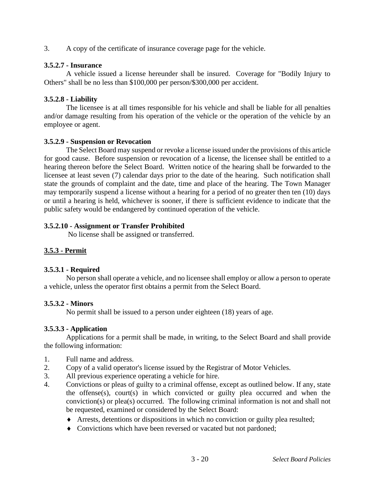3. A copy of the certificate of insurance coverage page for the vehicle.

### **3.5.2.7 - Insurance**

A vehicle issued a license hereunder shall be insured. Coverage for "Bodily Injury to Others" shall be no less than \$100,000 per person/\$300,000 per accident.

### **3.5.2.8 - Liability**

The licensee is at all times responsible for his vehicle and shall be liable for all penalties and/or damage resulting from his operation of the vehicle or the operation of the vehicle by an employee or agent.

#### **3.5.2.9 - Suspension or Revocation**

The Select Board may suspend or revoke a license issued under the provisions of this article for good cause. Before suspension or revocation of a license, the licensee shall be entitled to a hearing thereon before the Select Board. Written notice of the hearing shall be forwarded to the licensee at least seven (7) calendar days prior to the date of the hearing. Such notification shall state the grounds of complaint and the date, time and place of the hearing. The Town Manager may temporarily suspend a license without a hearing for a period of no greater then ten (10) days or until a hearing is held, whichever is sooner, if there is sufficient evidence to indicate that the public safety would be endangered by continued operation of the vehicle.

## **3.5.2.10 - Assignment or Transfer Prohibited**

No license shall be assigned or transferred.

## **3.5.3 - Permit**

## **3.5.3.1 - Required**

No person shall operate a vehicle, and no licensee shall employ or allow a person to operate a vehicle, unless the operator first obtains a permit from the Select Board.

## **3.5.3.2 - Minors**

No permit shall be issued to a person under eighteen (18) years of age.

## **3.5.3.3 - Application**

Applications for a permit shall be made, in writing, to the Select Board and shall provide the following information:

- 1. Full name and address.
- 2. Copy of a valid operator's license issued by the Registrar of Motor Vehicles.
- 3. All previous experience operating a vehicle for hire.
- 4. Convictions or pleas of guilty to a criminal offense, except as outlined below. If any, state the offense(s), court(s) in which convicted or guilty plea occurred and when the conviction(s) or plea(s) occurred. The following criminal information is not and shall not be requested, examined or considered by the Select Board:
	- Arrests, detentions or dispositions in which no conviction or guilty plea resulted;
	- Convictions which have been reversed or vacated but not pardoned;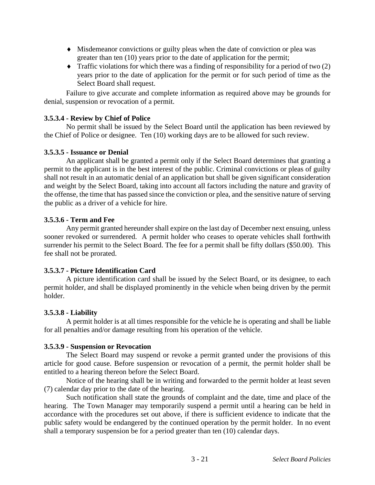- Misdemeanor convictions or guilty pleas when the date of conviction or plea was greater than ten (10) years prior to the date of application for the permit;
- $\blacklozenge$  Traffic violations for which there was a finding of responsibility for a period of two (2) years prior to the date of application for the permit or for such period of time as the Select Board shall request.

Failure to give accurate and complete information as required above may be grounds for denial, suspension or revocation of a permit.

## **3.5.3.4 - Review by Chief of Police**

No permit shall be issued by the Select Board until the application has been reviewed by the Chief of Police or designee. Ten (10) working days are to be allowed for such review.

## **3.5.3.5 - Issuance or Denial**

An applicant shall be granted a permit only if the Select Board determines that granting a permit to the applicant is in the best interest of the public. Criminal convictions or pleas of guilty shall not result in an automatic denial of an application but shall be given significant consideration and weight by the Select Board, taking into account all factors including the nature and gravity of the offense, the time that has passed since the conviction or plea, and the sensitive nature of serving the public as a driver of a vehicle for hire.

# **3.5.3.6 - Term and Fee**

Any permit granted hereunder shall expire on the last day of December next ensuing, unless sooner revoked or surrendered. A permit holder who ceases to operate vehicles shall forthwith surrender his permit to the Select Board. The fee for a permit shall be fifty dollars (\$50.00). This fee shall not be prorated.

## **3.5.3.7 - Picture Identification Card**

A picture identification card shall be issued by the Select Board, or its designee, to each permit holder, and shall be displayed prominently in the vehicle when being driven by the permit holder.

## **3.5.3.8 - Liability**

A permit holder is at all times responsible for the vehicle he is operating and shall be liable for all penalties and/or damage resulting from his operation of the vehicle.

## **3.5.3.9 - Suspension or Revocation**

The Select Board may suspend or revoke a permit granted under the provisions of this article for good cause. Before suspension or revocation of a permit, the permit holder shall be entitled to a hearing thereon before the Select Board.

Notice of the hearing shall be in writing and forwarded to the permit holder at least seven (7) calendar day prior to the date of the hearing.

Such notification shall state the grounds of complaint and the date, time and place of the hearing. The Town Manager may temporarily suspend a permit until a hearing can be held in accordance with the procedures set out above, if there is sufficient evidence to indicate that the public safety would be endangered by the continued operation by the permit holder. In no event shall a temporary suspension be for a period greater than ten (10) calendar days.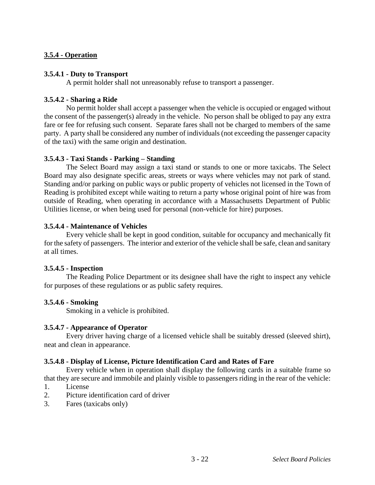## **3.5.4 - Operation**

### **3.5.4.1 - Duty to Transport**

A permit holder shall not unreasonably refuse to transport a passenger.

## **3.5.4.2 - Sharing a Ride**

No permit holder shall accept a passenger when the vehicle is occupied or engaged without the consent of the passenger(s) already in the vehicle. No person shall be obliged to pay any extra fare or fee for refusing such consent. Separate fares shall not be charged to members of the same party. A party shall be considered any number of individuals (not exceeding the passenger capacity of the taxi) with the same origin and destination.

## **3.5.4.3 - Taxi Stands - Parking – Standing**

The Select Board may assign a taxi stand or stands to one or more taxicabs. The Select Board may also designate specific areas, streets or ways where vehicles may not park of stand. Standing and/or parking on public ways or public property of vehicles not licensed in the Town of Reading is prohibited except while waiting to return a party whose original point of hire was from outside of Reading, when operating in accordance with a Massachusetts Department of Public Utilities license, or when being used for personal (non-vehicle for hire) purposes.

### **3.5.4.4 - Maintenance of Vehicles**

Every vehicle shall be kept in good condition, suitable for occupancy and mechanically fit for the safety of passengers. The interior and exterior of the vehicle shall be safe, clean and sanitary at all times.

## **3.5.4.5 - Inspection**

The Reading Police Department or its designee shall have the right to inspect any vehicle for purposes of these regulations or as public safety requires.

## **3.5.4.6 - Smoking**

Smoking in a vehicle is prohibited.

#### **3.5.4.7 - Appearance of Operator**

Every driver having charge of a licensed vehicle shall be suitably dressed (sleeved shirt), neat and clean in appearance.

## **3.5.4.8 - Display of License, Picture Identification Card and Rates of Fare**

Every vehicle when in operation shall display the following cards in a suitable frame so that they are secure and immobile and plainly visible to passengers riding in the rear of the vehicle:

- 1. License
- 2. Picture identification card of driver
- 3. Fares (taxicabs only)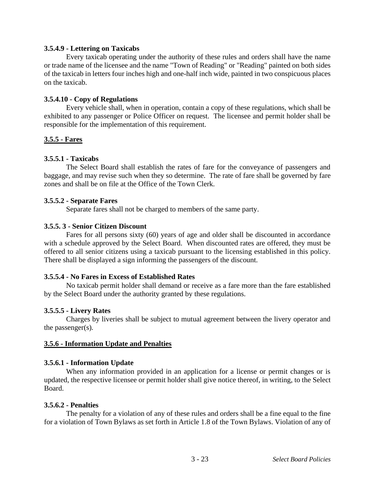#### **3.5.4.9 - Lettering on Taxicabs**

Every taxicab operating under the authority of these rules and orders shall have the name or trade name of the licensee and the name "Town of Reading" or "Reading" painted on both sides of the taxicab in letters four inches high and one-half inch wide, painted in two conspicuous places on the taxicab.

### **3.5.4.10 - Copy of Regulations**

Every vehicle shall, when in operation, contain a copy of these regulations, which shall be exhibited to any passenger or Police Officer on request. The licensee and permit holder shall be responsible for the implementation of this requirement.

## **3.5.5 - Fares**

## **3.5.5.1 - Taxicabs**

The Select Board shall establish the rates of fare for the conveyance of passengers and baggage, and may revise such when they so determine. The rate of fare shall be governed by fare zones and shall be on file at the Office of the Town Clerk.

## **3.5.5.2 - Separate Fares**

Separate fares shall not be charged to members of the same party.

### **3.5.5. 3 - Senior Citizen Discount**

Fares for all persons sixty (60) years of age and older shall be discounted in accordance with a schedule approved by the Select Board. When discounted rates are offered, they must be offered to all senior citizens using a taxicab pursuant to the licensing established in this policy. There shall be displayed a sign informing the passengers of the discount.

## **3.5.5.4 - No Fares in Excess of Established Rates**

No taxicab permit holder shall demand or receive as a fare more than the fare established by the Select Board under the authority granted by these regulations.

#### **3.5.5.5 - Livery Rates**

Charges by liveries shall be subject to mutual agreement between the livery operator and the passenger(s).

#### **3.5.6 - Information Update and Penalties**

## **3.5.6.1 - Information Update**

When any information provided in an application for a license or permit changes or is updated, the respective licensee or permit holder shall give notice thereof, in writing, to the Select Board.

#### **3.5.6.2 - Penalties**

The penalty for a violation of any of these rules and orders shall be a fine equal to the fine for a violation of Town Bylaws as set forth in Article 1.8 of the Town Bylaws. Violation of any of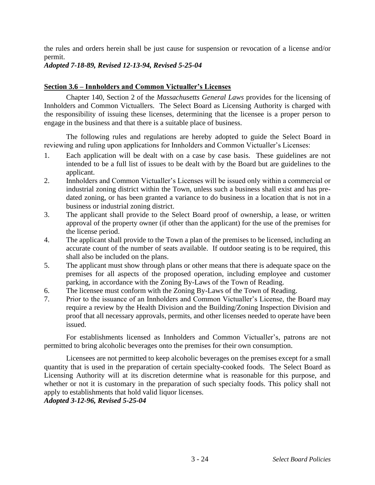the rules and orders herein shall be just cause for suspension or revocation of a license and/or permit.

# *Adopted 7-18-89, Revised 12-13-94, Revised 5-25-04*

## **Section 3.6 – Innholders and Common Victualler's Licenses**

Chapter 140, Section 2 of the *Massachusetts General Laws* provides for the licensing of Innholders and Common Victuallers. The Select Board as Licensing Authority is charged with the responsibility of issuing these licenses, determining that the licensee is a proper person to engage in the business and that there is a suitable place of business.

The following rules and regulations are hereby adopted to guide the Select Board in reviewing and ruling upon applications for Innholders and Common Victualler's Licenses:

- 1. Each application will be dealt with on a case by case basis. These guidelines are not intended to be a full list of issues to be dealt with by the Board but are guidelines to the applicant.
- 2. Innholders and Common Victualler's Licenses will be issued only within a commercial or industrial zoning district within the Town, unless such a business shall exist and has predated zoning, or has been granted a variance to do business in a location that is not in a business or industrial zoning district.
- 3. The applicant shall provide to the Select Board proof of ownership, a lease, or written approval of the property owner (if other than the applicant) for the use of the premises for the license period.
- 4. The applicant shall provide to the Town a plan of the premises to be licensed, including an accurate count of the number of seats available. If outdoor seating is to be required, this shall also be included on the plans.
- 5. The applicant must show through plans or other means that there is adequate space on the premises for all aspects of the proposed operation, including employee and customer parking, in accordance with the Zoning By-Laws of the Town of Reading.
- 6. The licensee must conform with the Zoning By-Laws of the Town of Reading.
- 7. Prior to the issuance of an Innholders and Common Victualler's License, the Board may require a review by the Health Division and the Building/Zoning Inspection Division and proof that all necessary approvals, permits, and other licenses needed to operate have been issued.

For establishments licensed as Innholders and Common Victualler's, patrons are not permitted to bring alcoholic beverages onto the premises for their own consumption.

Licensees are not permitted to keep alcoholic beverages on the premises except for a small quantity that is used in the preparation of certain specialty-cooked foods. The Select Board as Licensing Authority will at its discretion determine what is reasonable for this purpose, and whether or not it is customary in the preparation of such specialty foods. This policy shall not apply to establishments that hold valid liquor licenses.

## *Adopted 3-12-96, Revised 5-25-04*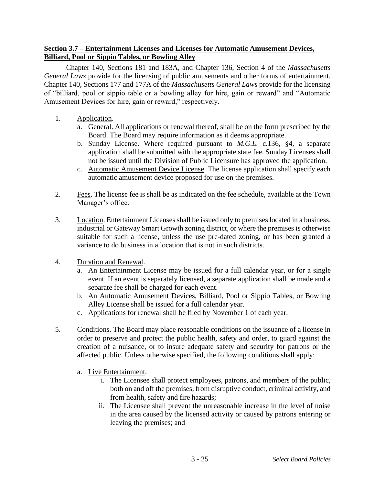## **Section 3.7 – Entertainment Licenses and Licenses for Automatic Amusement Devices, Billiard, Pool or Sippio Tables, or Bowling Alley**

Chapter 140, Sections 181 and 183A, and Chapter 136, Section 4 of the *Massachusetts General Laws* provide for the licensing of public amusements and other forms of entertainment. Chapter 140, Sections 177 and 177A of the *Massachusetts General Laws* provide for the licensing of "billiard, pool or sippio table or a bowling alley for hire, gain or reward" and "Automatic Amusement Devices for hire, gain or reward," respectively.

- 1. Application.
	- a. General. All applications or renewal thereof, shall be on the form prescribed by the Board. The Board may require information as it deems appropriate.
	- b. Sunday License. Where required pursuant to *M.G.L.* c.136, §4, a separate application shall be submitted with the appropriate state fee. Sunday Licenses shall not be issued until the Division of Public Licensure has approved the application.
	- c. Automatic Amusement Device License. The license application shall specify each automatic amusement device proposed for use on the premises.
- 2. Fees. The license fee is shall be as indicated on the fee schedule, available at the Town Manager's office.
- 3. Location. Entertainment Licenses shall be issued only to premises located in a business, industrial or Gateway Smart Growth zoning district, or where the premises is otherwise suitable for such a license, unless the use pre-dated zoning, or has been granted a variance to do business in a location that is not in such districts.
- 4. Duration and Renewal.
	- a. An Entertainment License may be issued for a full calendar year, or for a single event. If an event is separately licensed, a separate application shall be made and a separate fee shall be charged for each event.
	- b. An Automatic Amusement Devices, Billiard, Pool or Sippio Tables, or Bowling Alley License shall be issued for a full calendar year.
	- c. Applications for renewal shall be filed by November 1 of each year.
- 5. Conditions. The Board may place reasonable conditions on the issuance of a license in order to preserve and protect the public health, safety and order, to guard against the creation of a nuisance, or to insure adequate safety and security for patrons or the affected public. Unless otherwise specified, the following conditions shall apply:
	- a. Live Entertainment.
		- i. The Licensee shall protect employees, patrons, and members of the public, both on and off the premises, from disruptive conduct, criminal activity, and from health, safety and fire hazards;
		- ii. The Licensee shall prevent the unreasonable increase in the level of noise in the area caused by the licensed activity or caused by patrons entering or leaving the premises; and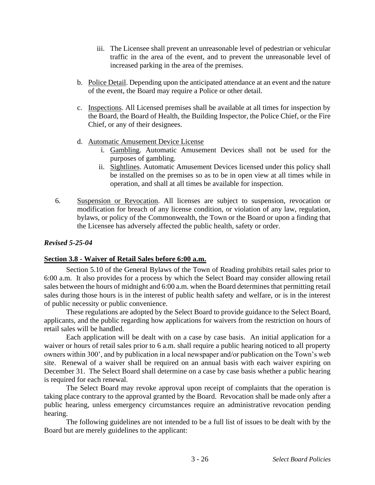- iii. The Licensee shall prevent an unreasonable level of pedestrian or vehicular traffic in the area of the event, and to prevent the unreasonable level of increased parking in the area of the premises.
- b. Police Detail. Depending upon the anticipated attendance at an event and the nature of the event, the Board may require a Police or other detail.
- c. Inspections. All Licensed premises shall be available at all times for inspection by the Board, the Board of Health, the Building Inspector, the Police Chief, or the Fire Chief, or any of their designees.
- d. Automatic Amusement Device License
	- i. Gambling. Automatic Amusement Devices shall not be used for the purposes of gambling.
	- ii. Sightlines. Automatic Amusement Devices licensed under this policy shall be installed on the premises so as to be in open view at all times while in operation, and shall at all times be available for inspection.
- 6. Suspension or Revocation. All licenses are subject to suspension, revocation or modification for breach of any license condition, or violation of any law, regulation, bylaws, or policy of the Commonwealth, the Town or the Board or upon a finding that the Licensee has adversely affected the public health, safety or order.

### *Revised 5-25-04*

#### **Section 3.8 - Waiver of Retail Sales before 6:00 a.m.**

Section 5.10 of the General Bylaws of the Town of Reading prohibits retail sales prior to 6:00 a.m. It also provides for a process by which the Select Board may consider allowing retail sales between the hours of midnight and 6:00 a.m. when the Board determines that permitting retail sales during those hours is in the interest of public health safety and welfare, or is in the interest of public necessity or public convenience.

These regulations are adopted by the Select Board to provide guidance to the Select Board, applicants, and the public regarding how applications for waivers from the restriction on hours of retail sales will be handled.

Each application will be dealt with on a case by case basis. An initial application for a waiver or hours of retail sales prior to 6 a.m. shall require a public hearing noticed to all property owners within 300', and by publication in a local newspaper and/or publication on the Town's web site. Renewal of a waiver shall be required on an annual basis with each waiver expiring on December 31. The Select Board shall determine on a case by case basis whether a public hearing is required for each renewal.

The Select Board may revoke approval upon receipt of complaints that the operation is taking place contrary to the approval granted by the Board. Revocation shall be made only after a public hearing, unless emergency circumstances require an administrative revocation pending hearing.

The following guidelines are not intended to be a full list of issues to be dealt with by the Board but are merely guidelines to the applicant: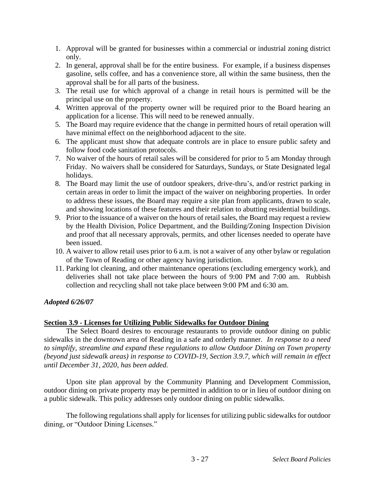- 1. Approval will be granted for businesses within a commercial or industrial zoning district only.
- 2. In general, approval shall be for the entire business. For example, if a business dispenses gasoline, sells coffee, and has a convenience store, all within the same business, then the approval shall be for all parts of the business.
- 3. The retail use for which approval of a change in retail hours is permitted will be the principal use on the property.
- 4. Written approval of the property owner will be required prior to the Board hearing an application for a license. This will need to be renewed annually.
- 5. The Board may require evidence that the change in permitted hours of retail operation will have minimal effect on the neighborhood adjacent to the site.
- 6. The applicant must show that adequate controls are in place to ensure public safety and follow food code sanitation protocols.
- 7. No waiver of the hours of retail sales will be considered for prior to 5 am Monday through Friday. No waivers shall be considered for Saturdays, Sundays, or State Designated legal holidays.
- 8. The Board may limit the use of outdoor speakers, drive-thru's, and/or restrict parking in certain areas in order to limit the impact of the waiver on neighboring properties. In order to address these issues, the Board may require a site plan from applicants, drawn to scale, and showing locations of these features and their relation to abutting residential buildings.
- 9. Prior to the issuance of a waiver on the hours of retail sales, the Board may request a review by the Health Division, Police Department, and the Building/Zoning Inspection Division and proof that all necessary approvals, permits, and other licenses needed to operate have been issued.
- 10. A waiver to allow retail uses prior to 6 a.m. is not a waiver of any other bylaw or regulation of the Town of Reading or other agency having jurisdiction.
- 11. Parking lot cleaning, and other maintenance operations (excluding emergency work), and deliveries shall not take place between the hours of 9:00 PM and 7:00 am. Rubbish collection and recycling shall not take place between 9:00 PM and 6:30 am.

## *Adopted 6/26/07*

## **Section 3.9 - Licenses for Utilizing Public Sidewalks for Outdoor Dining**

The Select Board desires to encourage restaurants to provide outdoor dining on public sidewalks in the downtown area of Reading in a safe and orderly manner. *In response to a need to simplify, streamline and expand these regulations to allow Outdoor Dining on Town property (beyond just sidewalk areas) in response to COVID-19, Section 3.9.7, which will remain in effect until December 31, 2020, has been added.*

Upon site plan approval by the Community Planning and Development Commission, outdoor dining on private property may be permitted in addition to or in lieu of outdoor dining on a public sidewalk. This policy addresses only outdoor dining on public sidewalks.

The following regulations shall apply for licenses for utilizing public sidewalks for outdoor dining, or "Outdoor Dining Licenses."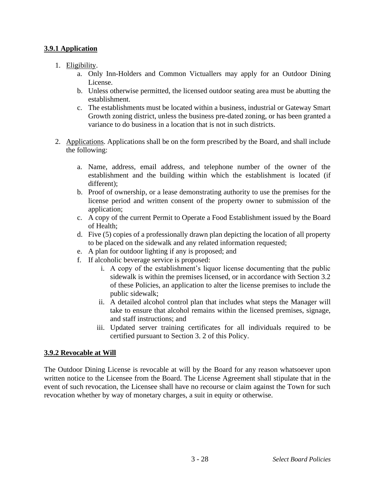# **3.9.1 Application**

- 1. Eligibility.
	- a. Only Inn-Holders and Common Victuallers may apply for an Outdoor Dining License.
	- b. Unless otherwise permitted, the licensed outdoor seating area must be abutting the establishment.
	- c. The establishments must be located within a business, industrial or Gateway Smart Growth zoning district, unless the business pre-dated zoning, or has been granted a variance to do business in a location that is not in such districts.
- 2. Applications. Applications shall be on the form prescribed by the Board, and shall include the following:
	- a. Name, address, email address, and telephone number of the owner of the establishment and the building within which the establishment is located (if different);
	- b. Proof of ownership, or a lease demonstrating authority to use the premises for the license period and written consent of the property owner to submission of the application;
	- c. A copy of the current Permit to Operate a Food Establishment issued by the Board of Health;
	- d. Five (5) copies of a professionally drawn plan depicting the location of all property to be placed on the sidewalk and any related information requested;
	- e. A plan for outdoor lighting if any is proposed; and
	- f. If alcoholic beverage service is proposed:
		- i. A copy of the establishment's liquor license documenting that the public sidewalk is within the premises licensed, or in accordance with Section 3.2 of these Policies, an application to alter the license premises to include the public sidewalk;
		- ii. A detailed alcohol control plan that includes what steps the Manager will take to ensure that alcohol remains within the licensed premises, signage, and staff instructions; and
		- iii. Updated server training certificates for all individuals required to be certified pursuant to Section 3. 2 of this Policy.

## **3.9.2 Revocable at Will**

The Outdoor Dining License is revocable at will by the Board for any reason whatsoever upon written notice to the Licensee from the Board. The License Agreement shall stipulate that in the event of such revocation, the Licensee shall have no recourse or claim against the Town for such revocation whether by way of monetary charges, a suit in equity or otherwise.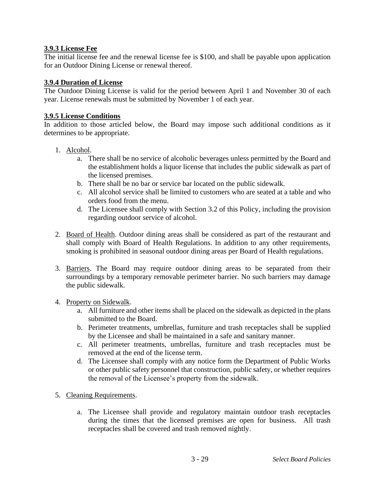## **3.9.3 License Fee**

The initial license fee and the renewal license fee is \$100, and shall be payable upon application for an Outdoor Dining License or renewal thereof.

### **3.9.4 Duration of License**

The Outdoor Dining License is valid for the period between April 1 and November 30 of each year. License renewals must be submitted by November 1 of each year.

#### **3.9.5 License Conditions**

In addition to those articled below, the Board may impose such additional conditions as it determines to be appropriate.

- 1. Alcohol.
	- a. There shall be no service of alcoholic beverages unless permitted by the Board and the establishment holds a liquor license that includes the public sidewalk as part of the licensed premises.
	- b. There shall be no bar or service bar located on the public sidewalk.
	- c. All alcohol service shall be limited to customers who are seated at a table and who orders food from the menu.
	- d. The Licensee shall comply with Section 3.2 of this Policy, including the provision regarding outdoor service of alcohol.
- 2. Board of Health. Outdoor dining areas shall be considered as part of the restaurant and shall comply with Board of Health Regulations. In addition to any other requirements, smoking is prohibited in seasonal outdoor dining areas per Board of Health regulations.
- 3. Barriers. The Board may require outdoor dining areas to be separated from their surroundings by a temporary removable perimeter barrier. No such barriers may damage the public sidewalk.

#### 4. Property on Sidewalk.

- a. All furniture and other items shall be placed on the sidewalk as depicted in the plans submitted to the Board.
- b. Perimeter treatments, umbrellas, furniture and trash receptacles shall be supplied by the Licensee and shall be maintained in a safe and sanitary manner.
- c. All perimeter treatments, umbrellas, furniture and trash receptacles must be removed at the end of the license term.
- d. The Licensee shall comply with any notice form the Department of Public Works or other public safety personnel that construction, public safety, or whether requires the removal of the Licensee's property from the sidewalk.
- 5. Cleaning Requirements.
	- a. The Licensee shall provide and regulatory maintain outdoor trash receptacles during the times that the licensed premises are open for business. All trash receptacles shall be covered and trash removed nightly.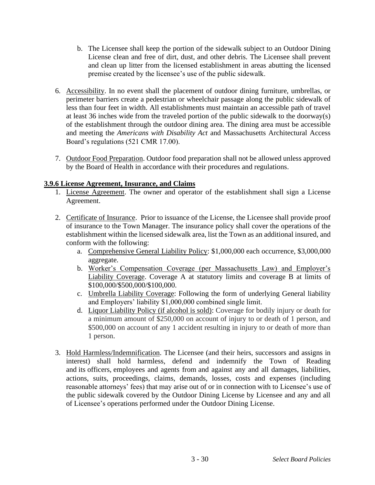- b. The Licensee shall keep the portion of the sidewalk subject to an Outdoor Dining License clean and free of dirt, dust, and other debris. The Licensee shall prevent and clean up litter from the licensed establishment in areas abutting the licensed premise created by the licensee's use of the public sidewalk.
- 6. Accessibility. In no event shall the placement of outdoor dining furniture, umbrellas, or perimeter barriers create a pedestrian or wheelchair passage along the public sidewalk of less than four feet in width. All establishments must maintain an accessible path of travel at least 36 inches wide from the traveled portion of the public sidewalk to the doorway(s) of the establishment through the outdoor dining area. The dining area must be accessible and meeting the *Americans with Disability Act* and Massachusetts Architectural Access Board's regulations (521 CMR 17.00).
- 7. Outdoor Food Preparation. Outdoor food preparation shall not be allowed unless approved by the Board of Health in accordance with their procedures and regulations.

# **3.9.6 License Agreement, Insurance, and Claims**

- 1. License Agreement. The owner and operator of the establishment shall sign a License Agreement.
- 2. Certificate of Insurance. Prior to issuance of the License, the Licensee shall provide proof of insurance to the Town Manager. The insurance policy shall cover the operations of the establishment within the licensed sidewalk area, list the Town as an additional insured, and conform with the following:
	- a. Comprehensive General Liability Policy: \$1,000,000 each occurrence, \$3,000,000 aggregate.
	- b. Worker's Compensation Coverage (per Massachusetts Law) and Employer's Liability Coverage. Coverage A at statutory limits and coverage B at limits of \$100,000/\$500,000/\$100,000.
	- c. Umbrella Liability Coverage: Following the form of underlying General liability and Employers' liability \$1,000,000 combined single limit.
	- d. Liquor Liability Policy (if alcohol is sold): Coverage for bodily injury or death for a minimum amount of \$250,000 on account of injury to or death of 1 person, and \$500,000 on account of any 1 accident resulting in injury to or death of more than 1 person.
- 3. Hold Harmless/Indemnification. The Licensee (and their heirs, successors and assigns in interest) shall hold harmless, defend and indemnify the Town of Reading and its officers, employees and agents from and against any and all damages, liabilities, actions, suits, proceedings, claims, demands, losses, costs and expenses (including reasonable attorneys' fees) that may arise out of or in connection with to Licensee's use of the public sidewalk covered by the Outdoor Dining License by Licensee and any and all of Licensee's operations performed under the Outdoor Dining License.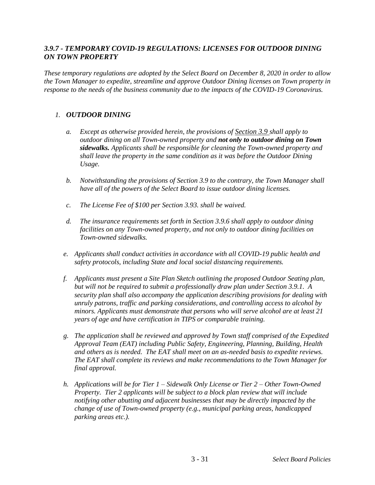## *3.9.7 - TEMPORARY COVID-19 REGULATIONS: LICENSES FOR OUTDOOR DINING ON TOWN PROPERTY*

*These temporary regulations are adopted by the Select Board on December 8, 2020 in order to allow the Town Manager to expedite, streamline and approve Outdoor Dining licenses on Town property in response to the needs of the business community due to the impacts of the COVID-19 Coronavirus.*

### *1. OUTDOOR DINING*

- *a. Except as otherwise provided herein, the provisions of Section 3.9 shall apply to outdoor dining on all Town-owned property and not only to outdoor dining on Town sidewalks. Applicants shall be responsible for cleaning the Town-owned property and shall leave the property in the same condition as it was before the Outdoor Dining Usage.*
- *b. Notwithstanding the provisions of Section 3.9 to the contrary, the Town Manager shall have all of the powers of the Select Board to issue outdoor dining licenses.*
- *c. The License Fee of \$100 per Section 3.93. shall be waived.*
- *d. The insurance requirements set forth in Section 3.9.6 shall apply to outdoor dining facilities on any Town-owned property, and not only to outdoor dining facilities on Town-owned sidewalks.*
- *e. Applicants shall conduct activities in accordance with all COVID-19 public health and safety protocols, including State and local social distancing requirements.*
- *f. Applicants must present a Site Plan Sketch outlining the proposed Outdoor Seating plan, but will not be required to submit a professionally draw plan under Section 3.9.1. A security plan shall also accompany the application describing provisions for dealing with unruly patrons, traffic and parking considerations, and controlling access to alcohol by minors. Applicants must demonstrate that persons who will serve alcohol are at least 21 years of age and have certification in TIPS or comparable training.*
- *g. The application shall be reviewed and approved by Town staff comprised of the Expedited Approval Team (EAT) including Public Safety, Engineering, Planning, Building, Health and others as is needed. The EAT shall meet on an as-needed basis to expedite reviews. The EAT shall complete its reviews and make recommendations to the Town Manager for final approval.*
- *h. Applications will be for Tier 1 – Sidewalk Only License or Tier 2 – Other Town-Owned Property. Tier 2 applicants will be subject to a block plan review that will include notifying other abutting and adjacent businesses that may be directly impacted by the change of use of Town-owned property (e.g., municipal parking areas, handicapped parking areas etc.).*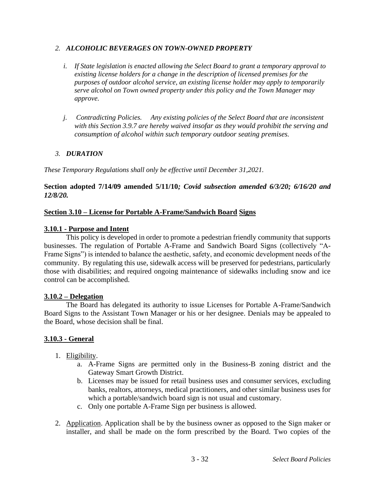#### *2. ALCOHOLIC BEVERAGES ON TOWN-OWNED PROPERTY*

- *i. If State legislation is enacted allowing the Select Board to grant a temporary approval to existing license holders for a change in the description of licensed premises for the purposes of outdoor alcohol service, an existing license holder may apply to temporarily serve alcohol on Town owned property under this policy and the Town Manager may approve.*
- *j. Contradicting Policies. Any existing policies of the Select Board that are inconsistent with this Section 3.9.7 are hereby waived insofar as they would prohibit the serving and consumption of alcohol within such temporary outdoor seating premises.*

# *3. DURATION*

*These Temporary Regulations shall only be effective until December 31,2021.*

### **Section adopted 7/14/09 amended 5/11/10***; Covid subsection amended 6/3/20; 6/16/20 and 12/8/20.*

## **Section 3.10 – License for Portable A-Frame/Sandwich Board Signs**

### **3.10.1 - Purpose and Intent**

This policy is developed in order to promote a pedestrian friendly community that supports businesses. The regulation of Portable A-Frame and Sandwich Board Signs (collectively "A-Frame Signs") is intended to balance the aesthetic, safety, and economic development needs of the community. By regulating this use, sidewalk access will be preserved for pedestrians, particularly those with disabilities; and required ongoing maintenance of sidewalks including snow and ice control can be accomplished.

#### **3.10.2 – Delegation**

The Board has delegated its authority to issue Licenses for Portable A-Frame/Sandwich Board Signs to the Assistant Town Manager or his or her designee. Denials may be appealed to the Board, whose decision shall be final.

## **3.10.3 - General**

- 1. Eligibility.
	- a. A-Frame Signs are permitted only in the Business-B zoning district and the Gateway Smart Growth District.
	- b. Licenses may be issued for retail business uses and consumer services, excluding banks, realtors, attorneys, medical practitioners, and other similar business uses for which a portable/sandwich board sign is not usual and customary.
	- c. Only one portable A-Frame Sign per business is allowed.
- 2. Application. Application shall be by the business owner as opposed to the Sign maker or installer, and shall be made on the form prescribed by the Board. Two copies of the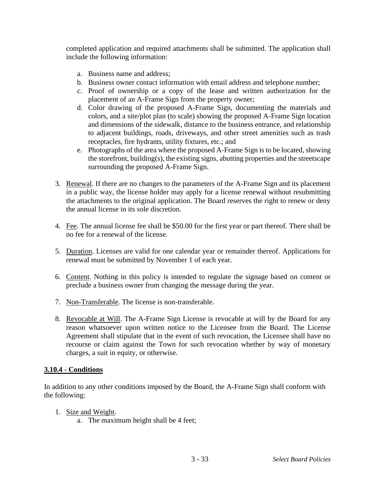completed application and required attachments shall be submitted. The application shall include the following information:

- a. Business name and address;
- b. Business owner contact information with email address and telephone number;
- c. Proof of ownership or a copy of the lease and written authorization for the placement of an A-Frame Sign from the property owner;
- d. Color drawing of the proposed A-Frame Sign, documenting the materials and colors, and a site/plot plan (to scale) showing the proposed A-Frame Sign location and dimensions of the sidewalk, distance to the business entrance, and relationship to adjacent buildings, roads, driveways, and other street amenities such as trash receptacles, fire hydrants, utility fixtures, etc.; and
- e. Photographs of the area where the proposed A-Frame Sign is to be located, showing the storefront, building(s), the existing signs, abutting properties and the streetscape surrounding the proposed A-Frame Sign.
- 3. Renewal. If there are no changes to the parameters of the A-Frame Sign and its placement in a public way, the license holder may apply for a license renewal without resubmitting the attachments to the original application. The Board reserves the right to renew or deny the annual license in its sole discretion.
- 4. Fee. The annual license fee shall be \$50.00 for the first year or part thereof. There shall be no fee for a renewal of the license.
- 5. Duration. Licenses are valid for one calendar year or remainder thereof. Applications for renewal must be submitted by November 1 of each year.
- 6. Content. Nothing in this policy is intended to regulate the signage based on content or preclude a business owner from changing the message during the year.
- 7. Non-Transferable. The license is non-transferable.
- 8. Revocable at Will. The A-Frame Sign License is revocable at will by the Board for any reason whatsoever upon written notice to the Licensee from the Board. The License Agreement shall stipulate that in the event of such revocation, the Licensee shall have no recourse or claim against the Town for such revocation whether by way of monetary charges, a suit in equity, or otherwise.

## **3.10.4 - Conditions**

In addition to any other conditions imposed by the Board, the A-Frame Sign shall conform with the following:

- 1. Size and Weight.
	- a. The maximum height shall be 4 feet;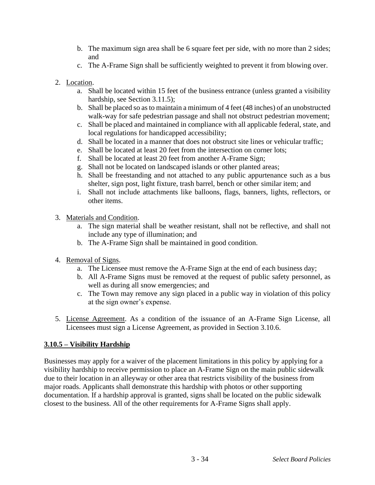- b. The maximum sign area shall be 6 square feet per side, with no more than 2 sides; and
- c. The A-Frame Sign shall be sufficiently weighted to prevent it from blowing over.
- 2. Location.
	- a. Shall be located within 15 feet of the business entrance (unless granted a visibility hardship, see Section 3.11.5);
	- b. Shall be placed so as to maintain a minimum of 4 feet (48 inches) of an unobstructed walk-way for safe pedestrian passage and shall not obstruct pedestrian movement;
	- c. Shall be placed and maintained in compliance with all applicable federal, state, and local regulations for handicapped accessibility;
	- d. Shall be located in a manner that does not obstruct site lines or vehicular traffic;
	- e. Shall be located at least 20 feet from the intersection on corner lots;
	- f. Shall be located at least 20 feet from another A-Frame Sign;
	- g. Shall not be located on landscaped islands or other planted areas;
	- h. Shall be freestanding and not attached to any public appurtenance such as a bus shelter, sign post, light fixture, trash barrel, bench or other similar item; and
	- i. Shall not include attachments like balloons, flags, banners, lights, reflectors, or other items.
- 3. Materials and Condition.
	- a. The sign material shall be weather resistant, shall not be reflective, and shall not include any type of illumination; and
	- b. The A-Frame Sign shall be maintained in good condition.
- 4. Removal of Signs.
	- a. The Licensee must remove the A-Frame Sign at the end of each business day;
	- b. All A-Frame Signs must be removed at the request of public safety personnel, as well as during all snow emergencies; and
	- c. The Town may remove any sign placed in a public way in violation of this policy at the sign owner's expense.
- 5. License Agreement. As a condition of the issuance of an A-Frame Sign License, all Licensees must sign a License Agreement, as provided in Section 3.10.6.

## **3.10.5 – Visibility Hardship**

Businesses may apply for a waiver of the placement limitations in this policy by applying for a visibility hardship to receive permission to place an A-Frame Sign on the main public sidewalk due to their location in an alleyway or other area that restricts visibility of the business from major roads. Applicants shall demonstrate this hardship with photos or other supporting documentation. If a hardship approval is granted, signs shall be located on the public sidewalk closest to the business. All of the other requirements for A-Frame Signs shall apply.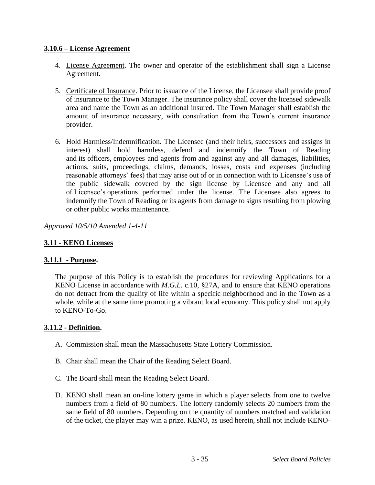## **3.10.6 – License Agreement**

- 4. License Agreement. The owner and operator of the establishment shall sign a License Agreement.
- 5. Certificate of Insurance. Prior to issuance of the License, the Licensee shall provide proof of insurance to the Town Manager. The insurance policy shall cover the licensed sidewalk area and name the Town as an additional insured. The Town Manager shall establish the amount of insurance necessary, with consultation from the Town's current insurance provider.
- 6. Hold Harmless/Indemnification. The Licensee (and their heirs, successors and assigns in interest) shall hold harmless, defend and indemnify the Town of Reading and its officers, employees and agents from and against any and all damages, liabilities, actions, suits, proceedings, claims, demands, losses, costs and expenses (including reasonable attorneys' fees) that may arise out of or in connection with to Licensee's use of the public sidewalk covered by the sign license by Licensee and any and all of Licensee's operations performed under the license. The Licensee also agrees to indemnify the Town of Reading or its agents from damage to signs resulting from plowing or other public works maintenance.

*Approved 10/5/10 Amended 1-4-11*

# **3.11 - KENO Licenses**

# **3.11.1 - Purpose.**

The purpose of this Policy is to establish the procedures for reviewing Applications for a KENO License in accordance with *M.G.L.* c.10, §27A, and to ensure that KENO operations do not detract from the quality of life within a specific neighborhood and in the Town as a whole, while at the same time promoting a vibrant local economy. This policy shall not apply to KENO-To-Go.

# **3.11.2 - Definition.**

- A. Commission shall mean the Massachusetts State Lottery Commission.
- B. Chair shall mean the Chair of the Reading Select Board.
- C. The Board shall mean the Reading Select Board.
- D. KENO shall mean an on-line lottery game in which a player selects from one to twelve numbers from a field of 80 numbers. The lottery randomly selects 20 numbers from the same field of 80 numbers. Depending on the quantity of numbers matched and validation of the ticket, the player may win a prize. KENO, as used herein, shall not include KENO-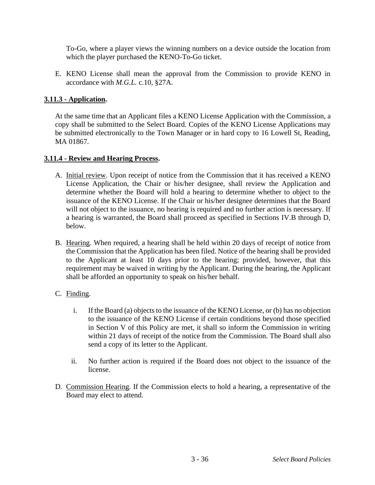To-Go, where a player views the winning numbers on a device outside the location from which the player purchased the KENO-To-Go ticket.

E. KENO License shall mean the approval from the Commission to provide KENO in accordance with *M.G.L.* c.10, §27A.

## **3.11.3 - Application.**

At the same time that an Applicant files a KENO License Application with the Commission, a copy shall be submitted to the Select Board. Copies of the KENO License Applications may be submitted electronically to the Town Manager or in hard copy to 16 Lowell St, Reading, MA 01867.

# **3.11.4 - Review and Hearing Process.**

- A. Initial review. Upon receipt of notice from the Commission that it has received a KENO License Application, the Chair or his/her designee, shall review the Application and determine whether the Board will hold a hearing to determine whether to object to the issuance of the KENO License. If the Chair or his/her designee determines that the Board will not object to the issuance, no hearing is required and no further action is necessary. If a hearing is warranted, the Board shall proceed as specified in Sections IV.B through D, below.
- B. Hearing. When required, a hearing shall be held within 20 days of receipt of notice from the Commission that the Application has been filed. Notice of the hearing shall be provided to the Applicant at least 10 days prior to the hearing; provided, however, that this requirement may be waived in writing by the Applicant. During the hearing, the Applicant shall be afforded an opportunity to speak on his/her behalf.

## C. Finding.

- i. If the Board (a) objects to the issuance of the KENO License, or (b) has no objection to the issuance of the KENO License if certain conditions beyond those specified in Section V of this Policy are met, it shall so inform the Commission in writing within 21 days of receipt of the notice from the Commission. The Board shall also send a copy of its letter to the Applicant.
- ii. No further action is required if the Board does not object to the issuance of the license.
- D. Commission Hearing. If the Commission elects to hold a hearing, a representative of the Board may elect to attend.